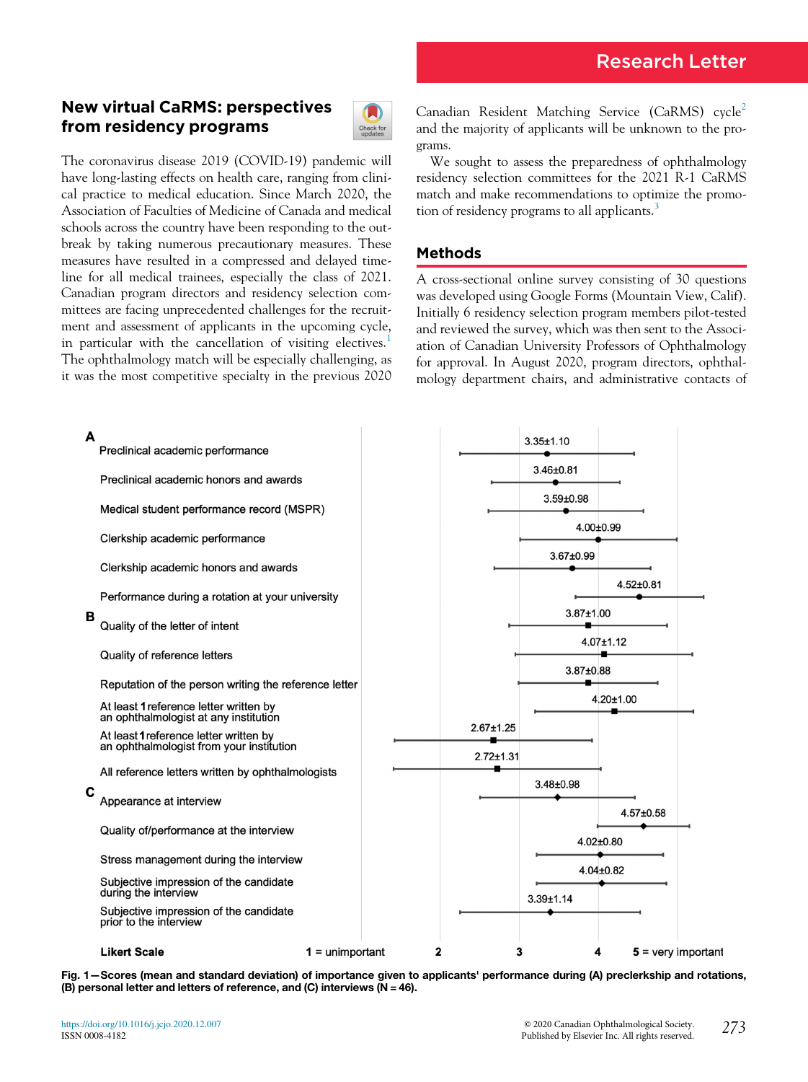# New virtual CaRMS: perspectives from residency programs



The coronavirus disease 2019 (COVID-19) pandemic will have long-lasting effects on health care, ranging from clinical practice to medical education. Since March 2020, the Association of Faculties of Medicine of Canada and medical schools across the country have been responding to the outbreak by taking numerous precautionary measures. These measures have resulted in a compressed and delayed timeline for all medical trainees, especially the class of 2021. Canadian program directors and residency selection committees are facing unprecedented challenges for the recruitment and assessment of applicants in the upcoming cycle, in particular with the cancellation of visiting electives.<sup>[1](#page-2-0)</sup> The ophthalmology match will be especially challenging, as it was the most competitive specialty in the previous 2020

Canadian Resident Matching Service (CaRMS) cycle<sup>[2](#page-2-1)</sup> and the majority of applicants will be unknown to the programs.

We sought to assess the preparedness of ophthalmology residency selection committees for the 2021 R-1 CaRMS match and make recommendations to optimize the promo-tion of residency programs to all applicants.<sup>[3](#page-2-2)</sup>

## Methods

A cross-sectional online survey consisting of 30 questions was developed using Google Forms (Mountain View, Calif). Initially 6 residency selection program members pilot-tested and reviewed the survey, which was then sent to the Association of Canadian University Professors of Ophthalmology for approval. In August 2020, program directors, ophthalmology department chairs, and administrative contacts of

<span id="page-0-0"></span>

Fig. 1—Scores (mean and standard deviation) of importance given to applicants' performance during (A) preclerkship and rotations, (B) personal letter and letters of reference, and (C) interviews (N = 46).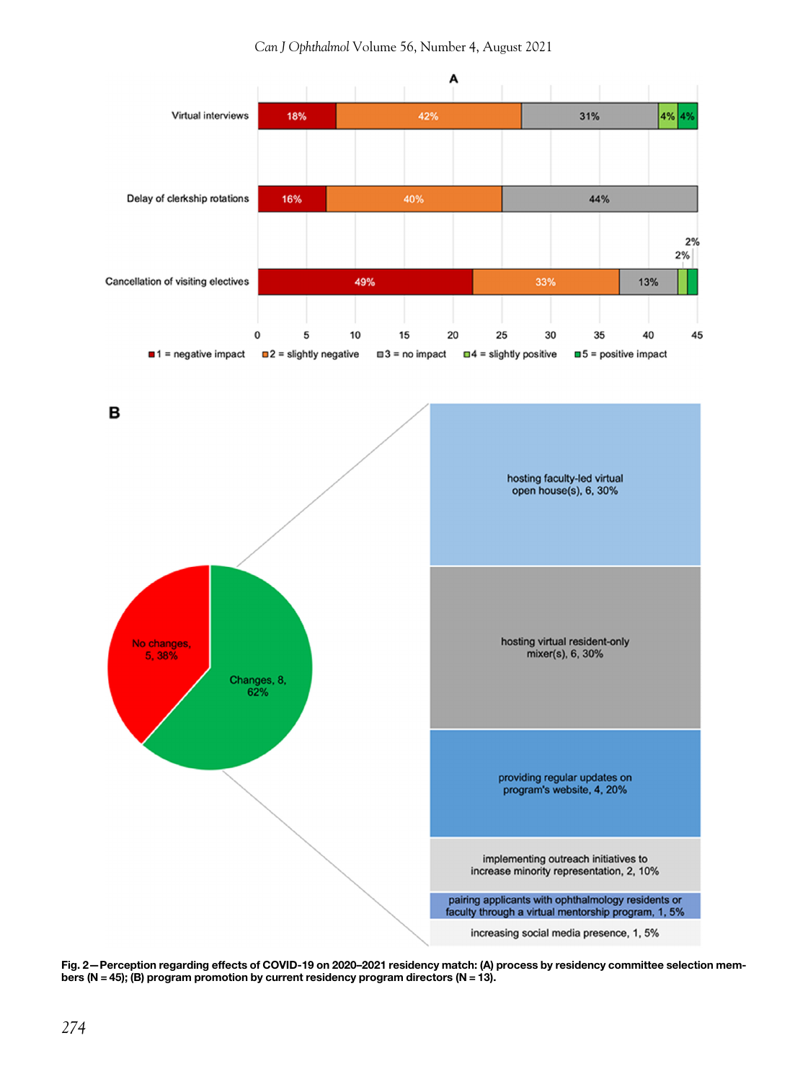<span id="page-1-0"></span>

Fig. 2—Perception regarding effects of COVID-19 on 2020–2021 residency match: (A) process by residency committee selection members (N = 45); (B) program promotion by current residency program directors (N = 13).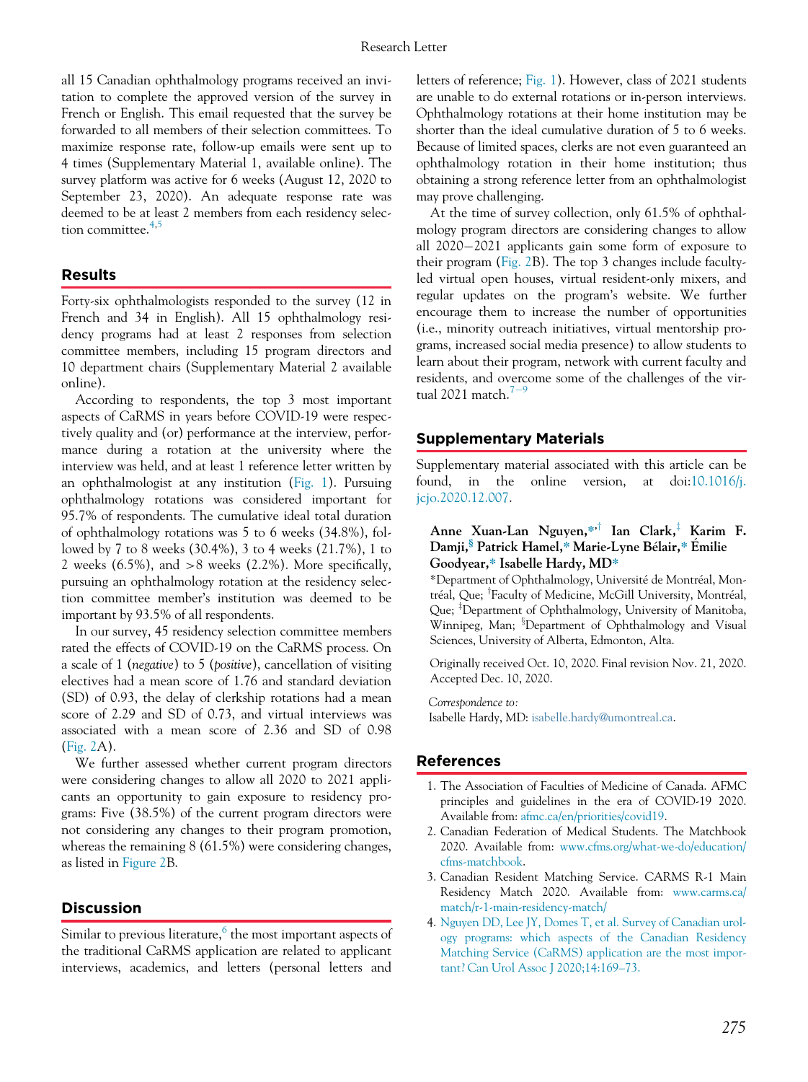all 15 Canadian ophthalmology programs received an invitation to complete the approved version of the survey in French or English. This email requested that the survey be forwarded to all members of their selection committees. To maximize response rate, follow-up emails were sent up to 4 times (Supplementary Material 1, available online). The survey platform was active for 6 weeks (August 12, 2020 to September 23, 2020). An adequate response rate was deemed to be at least 2 members from each residency selection committee. $4,5$  $4,5$  $4,5$ 

#### Results

Forty-six ophthalmologists responded to the survey (12 in French and 34 in English). All 15 ophthalmology residency programs had at least 2 responses from selection committee members, including 15 program directors and 10 department chairs (Supplementary Material 2 available online).

According to respondents, the top 3 most important aspects of CaRMS in years before COVID-19 were respectively quality and (or) performance at the interview, performance during a rotation at the university where the interview was held, and at least 1 reference letter written by an ophthalmologist at any institution ([Fig. 1\)](#page-0-0). Pursuing ophthalmology rotations was considered important for 95.7% of respondents. The cumulative ideal total duration of ophthalmology rotations was 5 to 6 weeks (34.8%), followed by 7 to 8 weeks (30.4%), 3 to 4 weeks (21.7%), 1 to 2 weeks  $(6.5\%)$ , and  $>8$  weeks  $(2.2\%)$ . More specifically, pursuing an ophthalmology rotation at the residency selection committee member's institution was deemed to be important by 93.5% of all respondents.

In our survey, 45 residency selection committee members rated the effects of COVID-19 on the CaRMS process. On a scale of 1 (negative) to 5 (positive), cancellation of visiting electives had a mean score of 1.76 and standard deviation (SD) of 0.93, the delay of clerkship rotations had a mean score of 2.29 and SD of 0.73, and virtual interviews was associated with a mean score of 2.36 and SD of 0.98 [\(Fig. 2](#page-1-0)A).

<span id="page-2-1"></span><span id="page-2-0"></span>We further assessed whether current program directors were considering changes to allow all 2020 to 2021 applicants an opportunity to gain exposure to residency programs: Five (38.5%) of the current program directors were not considering any changes to their program promotion, whereas the remaining 8 (61.5%) were considering changes, as listed in [Figure 2B](#page-1-0).

#### <span id="page-2-2"></span>Discussion

<span id="page-2-3"></span>Similar to previous literature, $6$  the most important aspects of the traditional CaRMS application are related to applicant interviews, academics, and letters (personal letters and letters of reference; [Fig. 1](#page-0-0)). However, class of 2021 students are unable to do external rotations or in-person interviews. Ophthalmology rotations at their home institution may be shorter than the ideal cumulative duration of 5 to 6 weeks. Because of limited spaces, clerks are not even guaranteed an ophthalmology rotation in their home institution; thus obtaining a strong reference letter from an ophthalmologist may prove challenging.

At the time of survey collection, only 61.5% of ophthalmology program directors are considering changes to allow all  $2020-2021$  applicants gain some form of exposure to their program ([Fig. 2](#page-1-0)B). The top 3 changes include facultyled virtual open houses, virtual resident-only mixers, and regular updates on the program's website. We further encourage them to increase the number of opportunities (i.e., minority outreach initiatives, virtual mentorship programs, increased social media presence) to allow students to learn about their program, network with current faculty and residents, and overcome some of the challenges of the virtual 2021 match. $7-9$  $7-9$  $7-9$ 

#### Supplementary Materials

Supplementary material associated with this article can be found, in the online version, at doi[:10.1016/j.](https://doi.org/10.1016/j.jcjo.2020.12.007) [jcjo.2020.12.007.](https://doi.org/10.1016/j.jcjo.2020.12.007)

### Anne Xuan-Lan Nguyen,\*<sup>†</sup> Ian Clark,<sup>‡</sup> Karim F. Damji,§ Patrick Hamel,\* Marie-Lyne Belair,\* Emilie Goodyear,\* Isabelle Hardy, MD\*

\*Department of Ophthalmology, Universite de Montreal, Montréal, Que; <sup>†</sup>Faculty of Medicine, McGill University, Montréal, Que; <sup>‡</sup>Department of Ophthalmology, University of Manitoba, Winnipeg, Man; <sup>§</sup>Department of Ophthalmology and Visual Sciences, University of Alberta, Edmonton, Alta.

Originally received Oct. 10, 2020. Final revision Nov. 21, 2020. Accepted Dec. 10, 2020.

Correspondence to: Isabelle Hardy, MD: [isabelle.hardy@umontreal.ca](mailto:isabelle.hardy@umontreal.ca).

#### References

- 1. The Association of Faculties of Medicine of Canada. AFMC principles and guidelines in the era of COVID-19 2020. Available from: [afmc.ca/en/priorities/covid19](http://afmc.ca/en/priorities/covid19).
- 2. Canadian Federation of Medical Students. The Matchbook 2020. Available from: [www.cfms.org/what-we-do/education/](http://www.cfms.org/what-we-do/education/cfms-matchbook) [cfms-matchbook.](http://www.cfms.org/what-we-do/education/cfms-matchbook)
- 3. Canadian Resident Matching Service. CARMS R-1 Main Residency Match 2020. Available from: [www.carms.ca/](http://www.carms.ca/match/r-1-main-residency-match/) [match/r-1-main-residency-match/](http://www.carms.ca/match/r-1-main-residency-match/)
- 4. [Nguyen DD, Lee JY, Domes T, et al. Survey of Canadian urol](http://refhub.elsevier.com/S0008-4182(20)30841-3/sbref0004)[ogy programs: which aspects of the Canadian Residency](http://refhub.elsevier.com/S0008-4182(20)30841-3/sbref0004) [Matching Service \(CaRMS\) application are the most impor](http://refhub.elsevier.com/S0008-4182(20)30841-3/sbref0004)[tant? Can Urol Assoc J 2020;14:169](http://refhub.elsevier.com/S0008-4182(20)30841-3/sbref0004)–73.